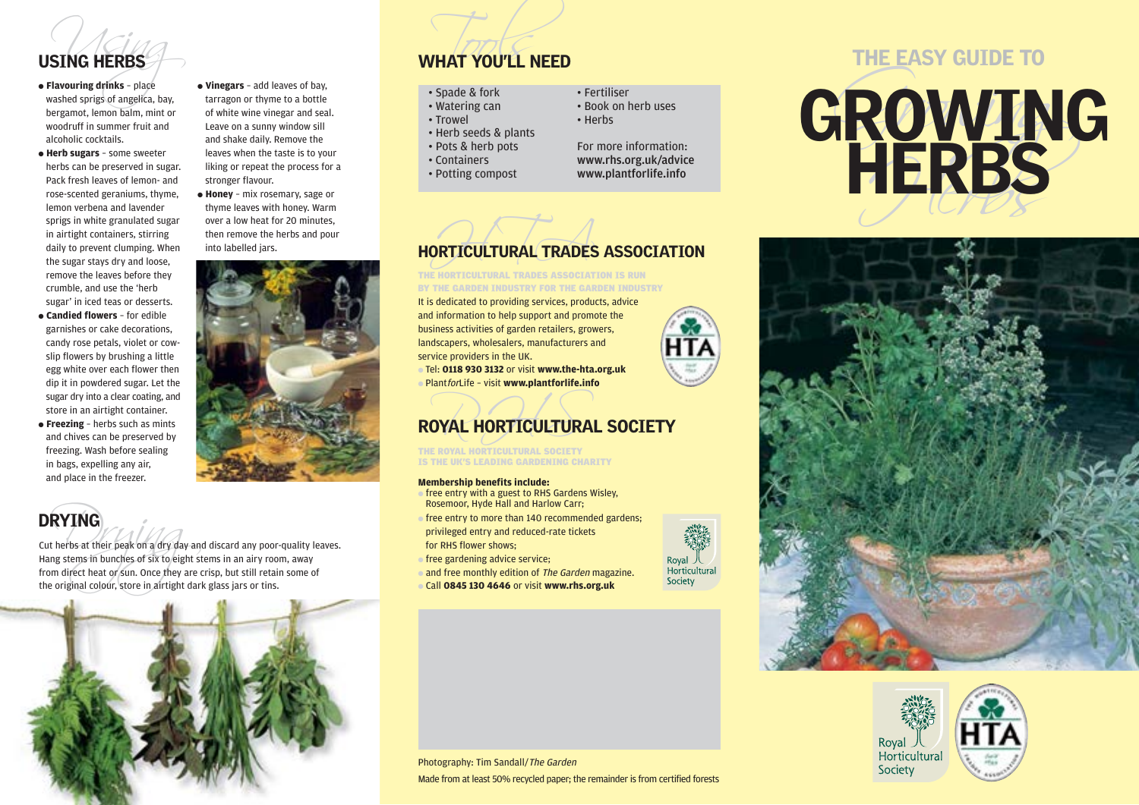

woodruff in summer fruit and alcoholic cocktails.

● **Vinegars** – add leaves of bay, tarragon or thyme to a bottle of white wine vinegar and seal. Leave on a sunny window sill and shake daily. Remove the leaves when the taste is to your liking or repeat the process for a

● **Honey** – mix rosemary, sage or thyme leaves with honey. Warm over a low heat for 20 minutes, then remove the herbs and pour

stronger flavour.

into labelled jars.

- **Herb sugars** some sweeter herbs can be preserved in sugar. Pack fresh leaves of lemon- and rose-scented geraniums, thyme, lemon verbena and lavender sprigs in white granulated sugar in airtight containers, stirring daily to prevent clumping. When the sugar stays dry and loose, remove the leaves before they crumble, and use the 'herb sugar' in iced teas or desserts.
- **Candied flowers** for edible garnishes or cake decorations, candy rose petals, violet or cowslip flowers by brushing a little egg white over each flower then dip it in powdered sugar. Let the sugar dry into a clear coating, and store in an airtight container.
- **Freezing** herbs such as mints and chives can be preserved by freezing. Wash before sealing in bags, expelling any air, and place in the freezer.

# DRYING

**RYING**<br>
therbs at their peak on a dry day an<br>
ing stems in bunches of six to eight s<br>
m direct heat or sun. Once they are<br>
e original colour, store in airtight dar Cut herbs at their peak on a dry day and discard any poor-quality leaves. Hang stems in bunches of six to eight stems in an airy room, away from direct heat or sun. Once they are crisp, but still retain some of the original colour, store in airtight dark glass jars or tins.



# USING HERBS WHAT YOU'LL NEED

- 
- 
- 
- 
- 
- 



- 
- 
- 



# THE HORTICULTURAL TRADES ASSOCIATION IS RUN BY THE GARDEN INDUSTRY FOR THE GARDEN INDUSTRY

It is dedicated to providing services, products, advice and information to help support and promote the business activities of garden retailers, growers, landscapers, wholesalers, manufacturers and service providers in the UK.

● Tel: **0118 930 3132** or visit **www.the-hta.org.uk** ● PlantforLife – visit **www.plantforlife.info**

# OYAL HORTICULTURA ROYAL HORTICULTURAL SOCIETY

THE ROYAL HORTICULTURAL SOCIETY **IS THE UK'S LEADING GARDENING CHARITY** 

# **Membership benefits include:**

- $\bullet$  free entry with a guest to RHS Gardens Wisley. Rosemoor, Hyde Hall and Harlow Carr;
- $\bullet$  free entry to more than 140 recommended gardens; privileged entry and reduced-rate tickets for RHS flower shows;
- **ofree gardening advice service;**
- and free monthly edition of The Garden magazine.
- Call **0845 130 4646** or visit **www.rhs.org.uk**

# WHAT YOU'LL NEED<br>
Spade & fork<br>
THE EASY GUIDE TO<br>
THE EASY GUIDE TO<br>
THE EASY GUIDE TO<br>
THE EASY GUIDE TO<br>
THE EASY GUIDE TO<br>
THE EASY GUIDE TO<br>
THE EASY GUIDE TO<br>
THE EASY GUIDE TO<br>
THE EASY GUIDE TO<br>
THE EASY GUIDE TO<br>





Photography: Tim Sandall/The Garden Made from at least 50% recycled paper; the remainder is from certified forests

Royal 八<br>Horticultural Society